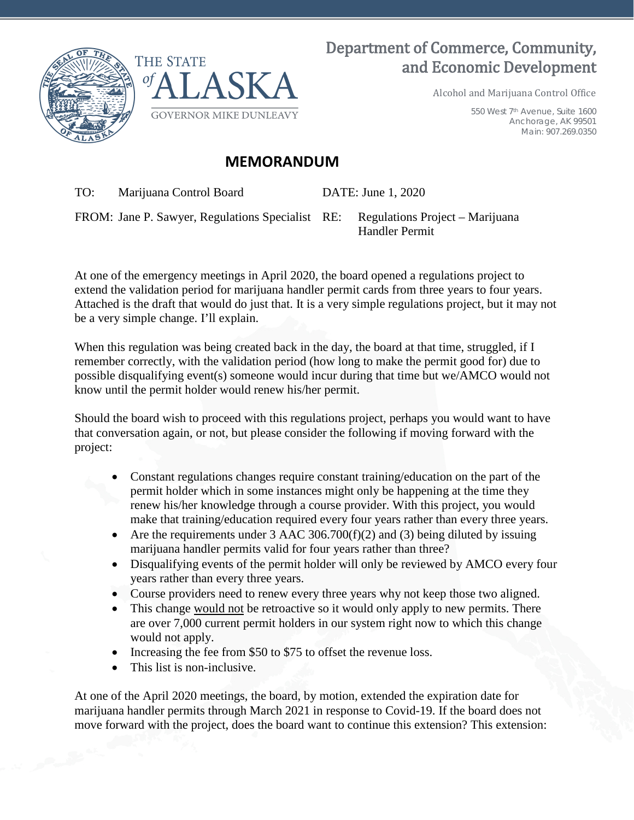

## Department of Commerce, Community, and Economic Development

Alcohol and Marijuana Control Office

550 West 7th Avenue, Suite 1600 Anchorage, AK 99501 Main: 907.269.0350

## **MEMORANDUM**

TO: Marijuana Control Board DATE: June 1, 2020

FROM: Jane P. Sawyer, Regulations Specialist RE: Regulations Project – Marijuana

Handler Permit

At one of the emergency meetings in April 2020, the board opened a regulations project to extend the validation period for marijuana handler permit cards from three years to four years. Attached is the draft that would do just that. It is a very simple regulations project, but it may not be a very simple change. I'll explain.

When this regulation was being created back in the day, the board at that time, struggled, if I remember correctly, with the validation period (how long to make the permit good for) due to possible disqualifying event(s) someone would incur during that time but we/AMCO would not know until the permit holder would renew his/her permit.

Should the board wish to proceed with this regulations project, perhaps you would want to have that conversation again, or not, but please consider the following if moving forward with the project:

- Constant regulations changes require constant training/education on the part of the permit holder which in some instances might only be happening at the time they renew his/her knowledge through a course provider. With this project, you would make that training/education required every four years rather than every three years.
- Are the requirements under  $3$  AAC  $306.700(f)(2)$  and  $(3)$  being diluted by issuing marijuana handler permits valid for four years rather than three?
- Disqualifying events of the permit holder will only be reviewed by AMCO every four years rather than every three years.
- Course providers need to renew every three years why not keep those two aligned.
- This change would not be retroactive so it would only apply to new permits. There are over 7,000 current permit holders in our system right now to which this change would not apply.
- Increasing the fee from \$50 to \$75 to offset the revenue loss.
- This list is non-inclusive.

At one of the April 2020 meetings, the board, by motion, extended the expiration date for marijuana handler permits through March 2021 in response to Covid-19. If the board does not move forward with the project, does the board want to continue this extension? This extension: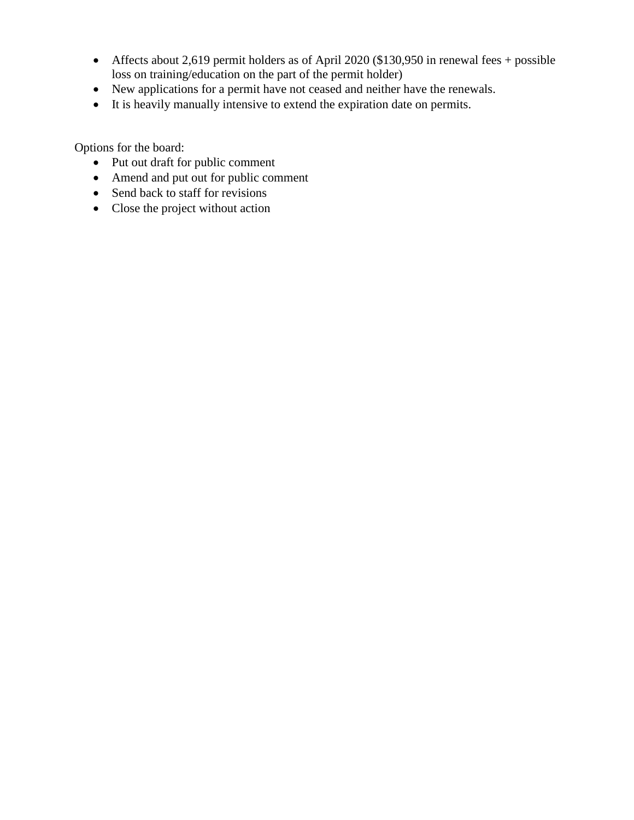- Affects about 2,619 permit holders as of April 2020 (\$130,950 in renewal fees + possible loss on training/education on the part of the permit holder)
- New applications for a permit have not ceased and neither have the renewals.
- It is heavily manually intensive to extend the expiration date on permits.

Options for the board:

- Put out draft for public comment
- Amend and put out for public comment
- Send back to staff for revisions
- Close the project without action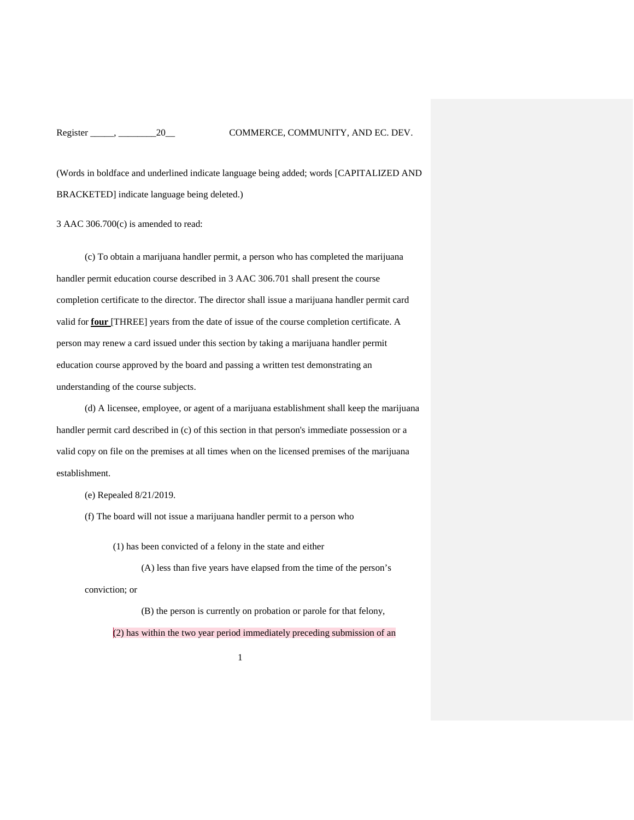(Words in boldface and underlined indicate language being added; words [CAPITALIZED AND BRACKETED] indicate language being deleted.)

3 AAC 306.700(c) is amended to read:

(c) To obtain a marijuana handler permit, a person who has completed the marijuana handler permit education course described in 3 AAC 306.701 shall present the course completion certificate to the director. The director shall issue a marijuana handler permit card valid for **four** [THREE] years from the date of issue of the course completion certificate. A person may renew a card issued under this section by taking a marijuana handler permit education course approved by the board and passing a written test demonstrating an understanding of the course subjects.

(d) A licensee, employee, or agent of a marijuana establishment shall keep the marijuana handler permit card described in (c) of this section in that person's immediate possession or a valid copy on file on the premises at all times when on the licensed premises of the marijuana establishment.

(e) Repealed 8/21/2019.

(f) The board will not issue a marijuana handler permit to a person who

(1) has been convicted of a felony in the state and either

(A) less than five years have elapsed from the time of the person's

conviction; or

(B) the person is currently on probation or parole for that felony,

(2) has within the two year period immediately preceding submission of an